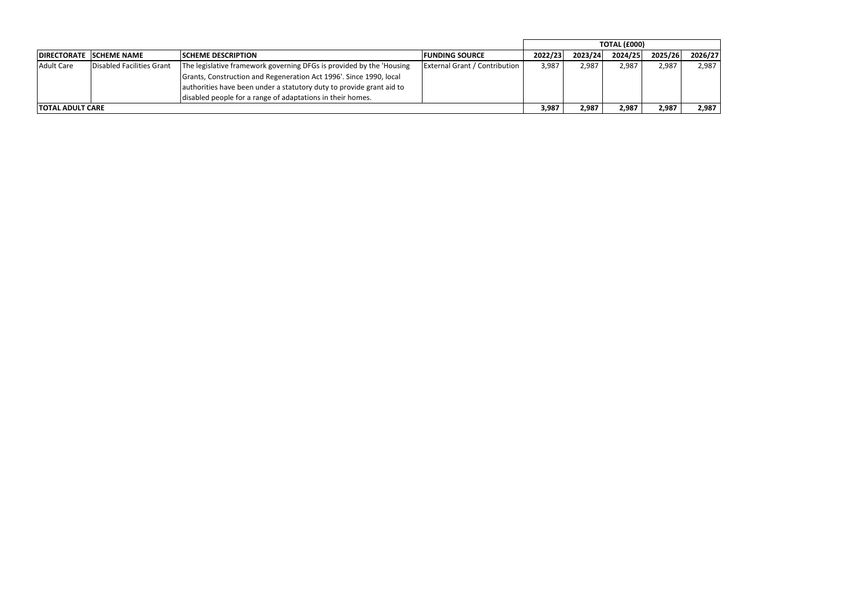|            |                           |                                                                       |                                      | TOTAL (£000) |         |         |         |         |
|------------|---------------------------|-----------------------------------------------------------------------|--------------------------------------|--------------|---------|---------|---------|---------|
|            | DIRECTORATE SCHEME NAME   | <b>ISCHEME DESCRIPTION</b>                                            | <b>IFUNDING SOURCE</b>               | 2022/23      | 2023/24 | 2024/25 | 2025/26 | 2026/27 |
| Adult Care | Disabled Facilities Grant | The legislative framework governing DFGs is provided by the 'Housing' | <b>External Grant / Contribution</b> | 3,987        | 2,987   | 2,987   | 2,987   | 2,987   |
|            |                           | Grants, Construction and Regeneration Act 1996'. Since 1990, local    |                                      |              |         |         |         |         |
|            |                           | authorities have been under a statutory duty to provide grant aid to  |                                      |              |         |         |         |         |
|            |                           | disabled people for a range of adaptations in their homes.            |                                      |              |         |         |         |         |
|            | <b>ITOTAL ADULT CARE</b>  |                                                                       |                                      | 3,987        | 2,987   | 2,987   | 2,987   | 2,987   |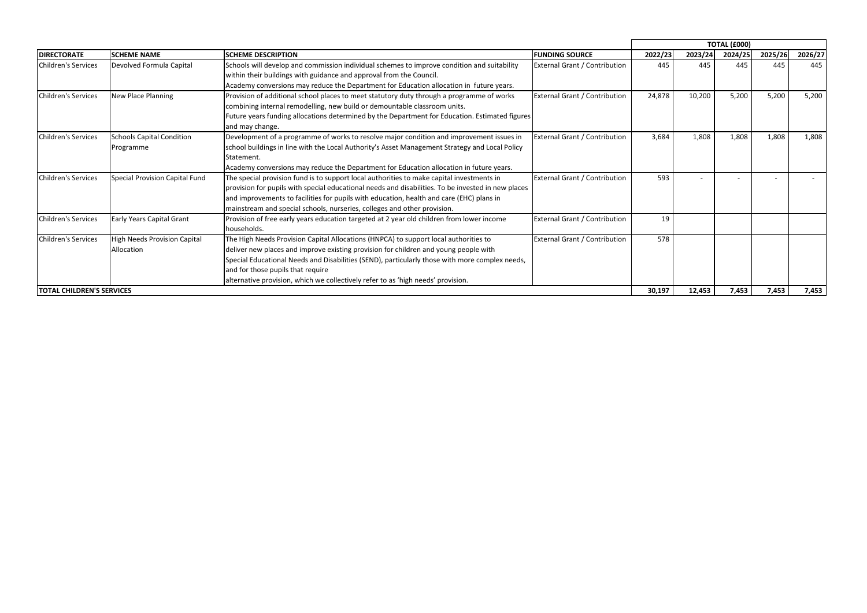|                                  |                                  |                                                                                                    |                                      |         |         | <b>TOTAL (£000)</b> |                                   |         |
|----------------------------------|----------------------------------|----------------------------------------------------------------------------------------------------|--------------------------------------|---------|---------|---------------------|-----------------------------------|---------|
| <b>DIRECTORATE</b>               | <b>SCHEME NAME</b>               | <b>SCHEME DESCRIPTION</b>                                                                          | <b>FUNDING SOURCE</b>                | 2022/23 | 2023/24 | 2024/25             | 2025/26                           | 2026/27 |
| Children's Services              | Devolved Formula Capital         | Schools will develop and commission individual schemes to improve condition and suitability        | <b>External Grant / Contribution</b> | 445     | 445     | 445                 | 445                               | 445     |
|                                  |                                  | within their buildings with guidance and approval from the Council.                                |                                      |         |         |                     |                                   |         |
|                                  |                                  | Academy conversions may reduce the Department for Education allocation in future years.            |                                      |         |         |                     |                                   |         |
| Children's Services              | New Place Planning               | Provision of additional school places to meet statutory duty through a programme of works          | <b>External Grant / Contribution</b> | 24,878  | 10,200  | 5,200               | 5,200                             | 5,200   |
|                                  |                                  | combining internal remodelling, new build or demountable classroom units.                          |                                      |         |         |                     | 1,808<br>$\overline{\phantom{0}}$ |         |
|                                  |                                  | Future years funding allocations determined by the Department for Education. Estimated figures     |                                      |         |         |                     |                                   |         |
|                                  |                                  | and may change.                                                                                    |                                      |         |         |                     |                                   |         |
| Children's Services              | <b>Schools Capital Condition</b> | Development of a programme of works to resolve major condition and improvement issues in           | <b>External Grant / Contribution</b> | 3,684   | 1,808   | 1,808               |                                   | 1,808   |
|                                  | Programme                        | school buildings in line with the Local Authority's Asset Management Strategy and Local Policy     |                                      |         |         |                     |                                   |         |
|                                  |                                  | Statement.                                                                                         |                                      |         |         |                     |                                   |         |
|                                  |                                  | Academy conversions may reduce the Department for Education allocation in future years.            |                                      |         |         |                     |                                   |         |
| <b>Children's Services</b>       | Special Provision Capital Fund   | The special provision fund is to support local authorities to make capital investments in          | <b>External Grant / Contribution</b> | 593     |         |                     |                                   |         |
|                                  |                                  | provision for pupils with special educational needs and disabilities. To be invested in new places |                                      |         |         |                     |                                   |         |
|                                  |                                  | and improvements to facilities for pupils with education, health and care (EHC) plans in           |                                      |         |         |                     |                                   |         |
|                                  |                                  | mainstream and special schools, nurseries, colleges and other provision.                           |                                      |         |         |                     |                                   |         |
| Children's Services              | <b>Early Years Capital Grant</b> | Provision of free early years education targeted at 2 year old children from lower income          | <b>External Grant / Contribution</b> | 19      |         |                     |                                   |         |
|                                  |                                  | households.                                                                                        |                                      |         |         |                     |                                   |         |
| Children's Services              | High Needs Provision Capital     | The High Needs Provision Capital Allocations (HNPCA) to support local authorities to               | <b>External Grant / Contribution</b> | 578     |         |                     |                                   |         |
|                                  | <b>Allocation</b>                | deliver new places and improve existing provision for children and young people with               |                                      |         |         |                     |                                   |         |
|                                  |                                  | Special Educational Needs and Disabilities (SEND), particularly those with more complex needs,     |                                      |         |         |                     |                                   |         |
|                                  |                                  | and for those pupils that require                                                                  |                                      |         |         |                     |                                   |         |
|                                  |                                  | alternative provision, which we collectively refer to as 'high needs' provision.                   |                                      |         |         |                     |                                   |         |
| <b>TOTAL CHILDREN'S SERVICES</b> |                                  |                                                                                                    |                                      | 30,197  | 12,453  | 7,453               | 7,453                             | 7,453   |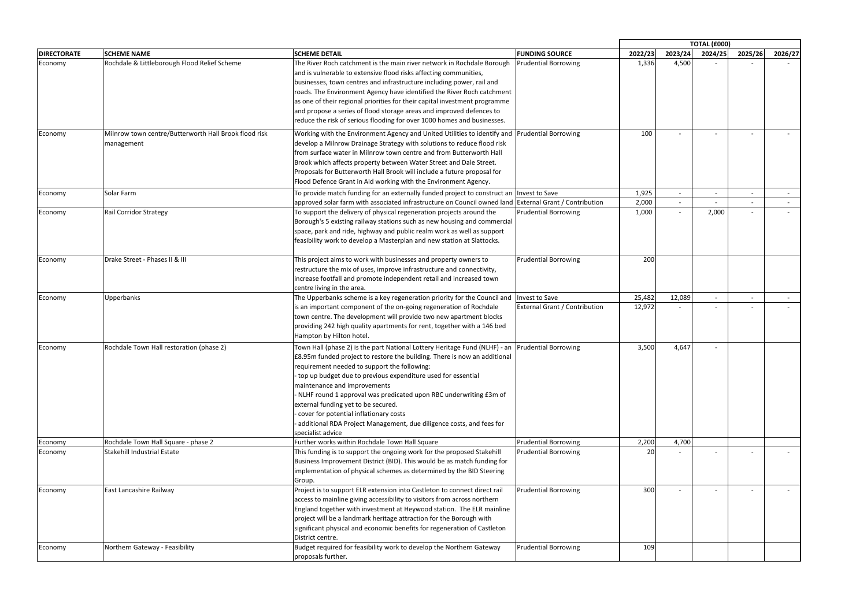|                    |                                                                     |                                                                                                                                                                                                                                                                                                                                                                                                                                                                                                                                                                                 |                                      |                |         | <b>TOTAL (£000)</b> |                          |            |
|--------------------|---------------------------------------------------------------------|---------------------------------------------------------------------------------------------------------------------------------------------------------------------------------------------------------------------------------------------------------------------------------------------------------------------------------------------------------------------------------------------------------------------------------------------------------------------------------------------------------------------------------------------------------------------------------|--------------------------------------|----------------|---------|---------------------|--------------------------|------------|
| <b>DIRECTORATE</b> | <b>SCHEME NAME</b>                                                  | <b>SCHEME DETAIL</b>                                                                                                                                                                                                                                                                                                                                                                                                                                                                                                                                                            | <b>FUNDING SOURCE</b>                | 2022/23        | 2023/24 | 2024/25             | 2025/26                  | 2026/27    |
| Economy            | Rochdale & Littleborough Flood Relief Scheme                        | The River Roch catchment is the main river network in Rochdale Borough<br>and is vulnerable to extensive flood risks affecting communities,<br>businesses, town centres and infrastructure including power, rail and<br>roads. The Environment Agency have identified the River Roch catchment<br>as one of their regional priorities for their capital investment programme<br>and propose a series of flood storage areas and improved defences to<br>reduce the risk of serious flooding for over 1000 homes and businesses.                                                 | <b>Prudential Borrowing</b>          | 1,336          | 4,500   |                     |                          |            |
| Economy            | Milnrow town centre/Butterworth Hall Brook flood risk<br>management | Working with the Environment Agency and United Utilities to identify and Prudential Borrowing<br>develop a Milnrow Drainage Strategy with solutions to reduce flood risk<br>from surface water in Milnrow town centre and from Butterworth Hall<br>Brook which affects property between Water Street and Dale Street.<br>Proposals for Butterworth Hall Brook will include a future proposal for<br>Flood Defence Grant in Aid working with the Environment Agency.                                                                                                             |                                      | 100            |         |                     |                          |            |
| Economy            | Solar Farm                                                          | To provide match funding for an externally funded project to construct an Invest to Save                                                                                                                                                                                                                                                                                                                                                                                                                                                                                        |                                      | 1,925          |         |                     | $\overline{\phantom{a}}$ | $\sim 100$ |
| Economy            | <b>Rail Corridor Strategy</b>                                       | approved solar farm with associated infrastructure on Council owned land External Grant / Contribution<br>To support the delivery of physical regeneration projects around the<br>Borough's 5 existing railway stations such as new housing and commercial<br>space, park and ride, highway and public realm work as well as support<br>feasibility work to develop a Masterplan and new station at Slattocks.                                                                                                                                                                  | <b>Prudential Borrowing</b>          | 2,000<br>1,000 |         | 2,000               | $\overline{\phantom{a}}$ |            |
| Economy            | Drake Street - Phases II & III                                      | This project aims to work with businesses and property owners to<br>restructure the mix of uses, improve infrastructure and connectivity,<br>increase footfall and promote independent retail and increased town<br>centre living in the area.                                                                                                                                                                                                                                                                                                                                  | <b>Prudential Borrowing</b>          | 200            |         |                     |                          |            |
| Economy            | Upperbanks                                                          | The Upperbanks scheme is a key regeneration priority for the Council and Invest to Save                                                                                                                                                                                                                                                                                                                                                                                                                                                                                         |                                      | 25,482         | 12,089  |                     | $\overline{\phantom{a}}$ |            |
|                    |                                                                     | is an important component of the on-going regeneration of Rochdale<br>town centre. The development will provide two new apartment blocks<br>providing 242 high quality apartments for rent, together with a 146 bed<br>Hampton by Hilton hotel.                                                                                                                                                                                                                                                                                                                                 | <b>External Grant / Contribution</b> | 12,972         |         |                     |                          |            |
| Economy            | Rochdale Town Hall restoration (phase 2)                            | Town Hall (phase 2) is the part National Lottery Heritage Fund (NLHF) - an Prudential Borrowing<br>£8.95m funded project to restore the building. There is now an additional<br>requirement needed to support the following:<br>top up budget due to previous expenditure used for essential<br>maintenance and improvements<br>NLHF round 1 approval was predicated upon RBC underwriting £3m of<br>external funding yet to be secured.<br>cover for potential inflationary costs<br>additional RDA Project Management, due diligence costs, and fees for<br>specialist advice |                                      | 3,500          | 4,647   |                     |                          |            |
| Economy            | Rochdale Town Hall Square - phase 2                                 | Further works within Rochdale Town Hall Square                                                                                                                                                                                                                                                                                                                                                                                                                                                                                                                                  | <b>Prudential Borrowing</b>          | 2,200          | 4,700   |                     |                          |            |
| Economy            | Stakehill Industrial Estate                                         | This funding is to support the ongoing work for the proposed Stakehill<br>Business Improvement District (BID). This would be as match funding for<br>implementation of physical schemes as determined by the BID Steering<br>Group.                                                                                                                                                                                                                                                                                                                                             | <b>Prudential Borrowing</b>          | 20             |         |                     |                          |            |
| Economy            | East Lancashire Railway                                             | Project is to support ELR extension into Castleton to connect direct rail<br>access to mainline giving accessibility to visitors from across northern<br>England together with investment at Heywood station. The ELR mainline<br>project will be a landmark heritage attraction for the Borough with<br>significant physical and economic benefits for regeneration of Castleton<br>District centre.                                                                                                                                                                           | <b>Prudential Borrowing</b>          | 300            |         |                     | $\overline{\phantom{a}}$ |            |
| Economy            | Northern Gateway - Feasibility                                      | Budget required for feasibility work to develop the Northern Gateway<br>proposals further.                                                                                                                                                                                                                                                                                                                                                                                                                                                                                      | <b>Prudential Borrowing</b>          | 109            |         |                     |                          |            |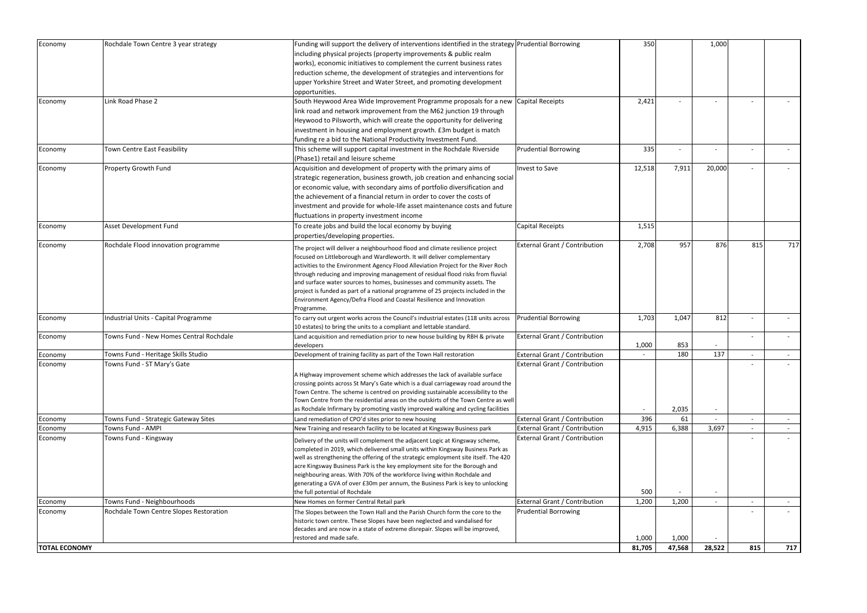| Economy              | Rochdale Town Centre 3 year strategy    | Funding will support the delivery of interventions identified in the strategy Prudential Borrowing |                                      | 350    |        | 1,000                    |     |        |
|----------------------|-----------------------------------------|----------------------------------------------------------------------------------------------------|--------------------------------------|--------|--------|--------------------------|-----|--------|
|                      |                                         | including physical projects (property improvements & public realm                                  |                                      |        |        |                          |     |        |
|                      |                                         | works), economic initiatives to complement the current business rates                              |                                      |        |        |                          |     |        |
|                      |                                         | reduction scheme, the development of strategies and interventions for                              |                                      |        |        |                          |     |        |
|                      |                                         | upper Yorkshire Street and Water Street, and promoting development                                 |                                      |        |        |                          |     |        |
|                      |                                         | opportunities.                                                                                     |                                      |        |        |                          |     |        |
| Economy              | Link Road Phase 2                       | South Heywood Area Wide Improvement Programme proposals for a new                                  | Capital Receipts                     | 2,421  |        |                          |     |        |
|                      |                                         | link road and network improvement from the M62 junction 19 through                                 |                                      |        |        |                          |     |        |
|                      |                                         | Heywood to Pilsworth, which will create the opportunity for delivering                             |                                      |        |        |                          |     |        |
|                      |                                         |                                                                                                    |                                      |        |        |                          |     |        |
|                      |                                         | investment in housing and employment growth. £3m budget is match                                   |                                      |        |        |                          |     |        |
|                      |                                         | funding re a bid to the National Productivity Investment Fund.                                     |                                      |        |        |                          |     |        |
| Economy              | Town Centre East Feasibility            | This scheme will support capital investment in the Rochdale Riverside                              | <b>Prudential Borrowing</b>          | 335    |        |                          |     |        |
|                      |                                         | (Phase1) retail and leisure scheme                                                                 |                                      |        |        |                          |     |        |
| Economy              | Property Growth Fund                    | Acquisition and development of property with the primary aims of                                   | <b>Invest to Save</b>                | 12,518 | 7,911  | 20,000                   |     |        |
|                      |                                         | strategic regeneration, business growth, job creation and enhancing social                         |                                      |        |        |                          |     |        |
|                      |                                         | or economic value, with secondary aims of portfolio diversification and                            |                                      |        |        |                          |     |        |
|                      |                                         | the achievement of a financial return in order to cover the costs of                               |                                      |        |        |                          |     |        |
|                      |                                         | investment and provide for whole-life asset maintenance costs and future                           |                                      |        |        |                          |     |        |
|                      |                                         | fluctuations in property investment income                                                         |                                      |        |        |                          |     |        |
| Economy              | Asset Development Fund                  | To create jobs and build the local economy by buying                                               | Capital Receipts                     | 1,515  |        |                          |     |        |
|                      |                                         | properties/developing properties.                                                                  |                                      |        |        |                          |     |        |
| Economy              | Rochdale Flood innovation programme     | The project will deliver a neighbourhood flood and climate resilience project                      | <b>External Grant / Contribution</b> | 2,708  | 957    | 876                      | 815 | 717    |
|                      |                                         | focused on Littleborough and Wardleworth. It will deliver complementary                            |                                      |        |        |                          |     |        |
|                      |                                         | activities to the Environment Agency Flood Alleviation Project for the River Roch                  |                                      |        |        |                          |     |        |
|                      |                                         | through reducing and improving management of residual flood risks from fluvial                     |                                      |        |        |                          |     |        |
|                      |                                         | and surface water sources to homes, businesses and community assets. The                           |                                      |        |        |                          |     |        |
|                      |                                         | project is funded as part of a national programme of 25 projects included in the                   |                                      |        |        |                          |     |        |
|                      |                                         | Environment Agency/Defra Flood and Coastal Resilience and Innovation                               |                                      |        |        |                          |     |        |
|                      |                                         | Programme.                                                                                         |                                      |        |        |                          |     |        |
| Economy              | Industrial Units - Capital Programme    | To carry out urgent works across the Council's industrial estates (118 units across                | <b>Prudential Borrowing</b>          | 1,703  | 1,047  | 812                      |     |        |
|                      |                                         | 10 estates) to bring the units to a compliant and lettable standard.                               |                                      |        |        |                          |     |        |
| Economy              | Towns Fund - New Homes Central Rochdale | Land acquisition and remediation prior to new house building by RBH & private                      | <b>External Grant / Contribution</b> |        |        |                          |     |        |
|                      |                                         | developers                                                                                         |                                      | 1,000  | 853    |                          |     |        |
| Economy              | Towns Fund - Heritage Skills Studio     | Development of training facility as part of the Town Hall restoration                              | <b>External Grant / Contribution</b> |        | 180    | 137                      |     |        |
| <b>Economy</b>       | Towns Fund - ST Mary's Gate             |                                                                                                    | External Grant / Contribution        |        |        |                          |     |        |
|                      |                                         | A Highway improvement scheme which addresses the lack of available surface                         |                                      |        |        |                          |     |        |
|                      |                                         | crossing points across St Mary's Gate which is a dual carriageway road around the                  |                                      |        |        |                          |     |        |
|                      |                                         | Town Centre. The scheme is centred on providing sustainable accessibility to the                   |                                      |        |        |                          |     |        |
|                      |                                         | Town Centre from the residential areas on the outskirts of the Town Centre as well                 |                                      |        |        |                          |     |        |
|                      |                                         | as Rochdale Infirmary by promoting vastly improved walking and cycling facilities                  |                                      |        | 2,035  | $\overline{\phantom{a}}$ |     |        |
| Economy              | Towns Fund - Strategic Gateway Sites    | Land remediation of CPO'd sites prior to new housing                                               | External Grant / Contribution        | 396    | 61     |                          |     | $\sim$ |
| Economy              | Towns Fund - AMPI                       | New Training and research facility to be located at Kingsway Business park                         | External Grant / Contribution        | 4,915  | 6,388  | 3,697                    |     |        |
| Economy              | Towns Fund - Kingsway                   | Delivery of the units will complement the adjacent Logic at Kingsway scheme,                       | External Grant / Contribution        |        |        |                          |     |        |
|                      |                                         | completed in 2019, which delivered small units within Kingsway Business Park as                    |                                      |        |        |                          |     |        |
|                      |                                         | well as strengthening the offering of the strategic employment site itself. The 420                |                                      |        |        |                          |     |        |
|                      |                                         | acre Kingsway Business Park is the key employment site for the Borough and                         |                                      |        |        |                          |     |        |
|                      |                                         | neighbouring areas. With 70% of the workforce living within Rochdale and                           |                                      |        |        |                          |     |        |
|                      |                                         | generating a GVA of over £30m per annum, the Business Park is key to unlocking                     |                                      |        |        |                          |     |        |
|                      |                                         | the full potential of Rochdale                                                                     |                                      | 500    |        |                          |     |        |
| Economy              | Towns Fund - Neighbourhoods             | New Homes on former Central Retail park                                                            | <b>External Grant / Contribution</b> | 1,200  | 1,200  |                          |     | $\sim$ |
| Economy              | Rochdale Town Centre Slopes Restoration | The Slopes between the Town Hall and the Parish Church form the core to the                        | <b>Prudential Borrowing</b>          |        |        |                          |     |        |
|                      |                                         | historic town centre. These Slopes have been neglected and vandalised for                          |                                      |        |        |                          |     |        |
|                      |                                         | decades and are now in a state of extreme disrepair. Slopes will be improved,                      |                                      |        |        |                          |     |        |
|                      |                                         | restored and made safe.                                                                            |                                      | 1,000  | 1,000  |                          |     |        |
| <b>TOTAL ECONOMY</b> |                                         |                                                                                                    |                                      | 81,705 | 47,568 | 28,522                   | 815 | 717    |
|                      |                                         |                                                                                                    |                                      |        |        |                          |     |        |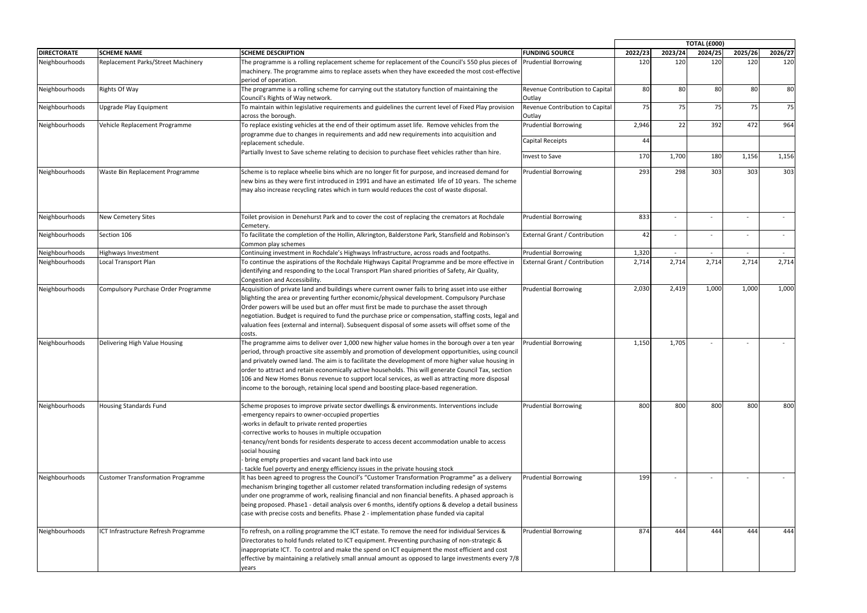|                    |                                          |                                                                                                                                                                                                                                                                                                                                                                                                                                                                                                                                                                                                           |                                           |         | <b>TOTAL (£000)</b> |         |         |            |  |
|--------------------|------------------------------------------|-----------------------------------------------------------------------------------------------------------------------------------------------------------------------------------------------------------------------------------------------------------------------------------------------------------------------------------------------------------------------------------------------------------------------------------------------------------------------------------------------------------------------------------------------------------------------------------------------------------|-------------------------------------------|---------|---------------------|---------|---------|------------|--|
| <b>DIRECTORATE</b> | <b>SCHEME NAME</b>                       | <b>SCHEME DESCRIPTION</b>                                                                                                                                                                                                                                                                                                                                                                                                                                                                                                                                                                                 | <b>FUNDING SOURCE</b>                     | 2022/23 | 2023/24             | 2024/25 | 2025/26 | 2026/27    |  |
| Neighbourhoods     | Replacement Parks/Street Machinery       | The programme is a rolling replacement scheme for replacement of the Council's 550 plus pieces of<br>machinery. The programme aims to replace assets when they have exceeded the most cost-effective<br>period of operation.                                                                                                                                                                                                                                                                                                                                                                              | <b>Prudential Borrowing</b>               | 120     | 120                 | 120     | 120     | 120        |  |
| Neighbourhoods     | Rights Of Way                            | The programme is a rolling scheme for carrying out the statutory function of maintaining the<br>Council's Rights of Way network.                                                                                                                                                                                                                                                                                                                                                                                                                                                                          | Revenue Contribution to Capital<br>Outlay | 80      | 80                  | 80      | 80      | 80         |  |
| Neighbourhoods     | Jpgrade Play Equipment                   | To maintain within legislative requirements and guidelines the current level of Fixed Play provision<br>across the borough.                                                                                                                                                                                                                                                                                                                                                                                                                                                                               | Revenue Contribution to Capital<br>Outlay | 75      | 75                  | 75      | 75      | 75         |  |
| Neighbourhoods     | Vehicle Replacement Programme            | To replace existing vehicles at the end of their optimum asset life. Remove vehicles from the<br>programme due to changes in requirements and add new requirements into acquisition and                                                                                                                                                                                                                                                                                                                                                                                                                   | <b>Prudential Borrowing</b>               | 2,946   | 22                  | 392     | 472     | 964        |  |
|                    |                                          | replacement schedule.                                                                                                                                                                                                                                                                                                                                                                                                                                                                                                                                                                                     | Capital Receipts                          | 44      |                     |         |         |            |  |
|                    |                                          | Partially Invest to Save scheme relating to decision to purchase fleet vehicles rather than hire.                                                                                                                                                                                                                                                                                                                                                                                                                                                                                                         | Invest to Save                            | 170     | 1,700               | 180     | 1,156   | 1,156      |  |
| Neighbourhoods     | Waste Bin Replacement Programme          | Scheme is to replace wheelie bins which are no longer fit for purpose, and increased demand for<br>new bins as they were first introduced in 1991 and have an estimated life of 10 years. The scheme<br>may also increase recycling rates which in turn would reduces the cost of waste disposal.                                                                                                                                                                                                                                                                                                         | <b>Prudential Borrowing</b>               | 293     | 298                 | 303     | 303     | 303        |  |
| Neighbourhoods     | <b>New Cemetery Sites</b>                | Toilet provision in Denehurst Park and to cover the cost of replacing the cremators at Rochdale<br>Cemetery.                                                                                                                                                                                                                                                                                                                                                                                                                                                                                              | <b>Prudential Borrowing</b>               | 833     |                     |         |         | $\sim$     |  |
| Neighbourhoods     | Section 106                              | To facilitate the completion of the Hollin, Alkrington, Balderstone Park, Stansfield and Robinson's<br>Common play schemes                                                                                                                                                                                                                                                                                                                                                                                                                                                                                | <b>External Grant / Contribution</b>      | 42      |                     |         |         | $\sim$ $-$ |  |
| Neighbourhoods     | Highways Investment                      | Continuing investment in Rochdale's Highways Infrastructure, across roads and footpaths.                                                                                                                                                                                                                                                                                                                                                                                                                                                                                                                  | <b>Prudential Borrowing</b>               | 1,320   |                     |         | $\sim$  | $\sim$ $-$ |  |
| Neighbourhoods     | ocal Transport Plan                      | To continue the aspirations of the Rochdale Highways Capital Programme and be more effective in<br>identifying and responding to the Local Transport Plan shared priorities of Safety, Air Quality,<br>Congestion and Accessibility.                                                                                                                                                                                                                                                                                                                                                                      | External Grant / Contribution             | 2,714   | 2,714               | 2,714   | 2,714   | 2,714      |  |
| Neighbourhoods     | Compulsory Purchase Order Programme      | Acquisition of private land and buildings where current owner fails to bring asset into use either<br>blighting the area or preventing further economic/physical development. Compulsory Purchase<br>Order powers will be used but an offer must first be made to purchase the asset through<br>negotiation. Budget is required to fund the purchase price or compensation, staffing costs, legal and<br>valuation fees (external and internal). Subsequent disposal of some assets will offset some of the<br>costs.                                                                                     | <b>Prudential Borrowing</b>               | 2,030   | 2,419               | 1,000   | 1,000   | 1,000      |  |
| Neighbourhoods     | Delivering High Value Housing            | The programme aims to deliver over 1,000 new higher value homes in the borough over a ten year<br>period, through proactive site assembly and promotion of development opportunities, using council<br>and privately owned land. The aim is to facilitate the development of more higher value housing in<br>order to attract and retain economically active households. This will generate Council Tax, section<br>106 and New Homes Bonus revenue to support local services, as well as attracting more disposal<br>income to the borough, retaining local spend and boosting place-based regeneration. | <b>Prudential Borrowing</b>               | 1,150   | 1,705               |         |         |            |  |
| Neighbourhoods     | <b>Housing Standards Fund</b>            | Scheme proposes to improve private sector dwellings & environments. Interventions include<br>-emergency repairs to owner-occupied properties<br>-works in default to private rented properties<br>-corrective works to houses in multiple occupation<br>-tenancy/rent bonds for residents desperate to access decent accommodation unable to access<br>social housing<br>bring empty properties and vacant land back into use<br>tackle fuel poverty and energy efficiency issues in the private housing stock                                                                                            | <b>Prudential Borrowing</b>               | 800     | 800                 | 800     | 800     | 800        |  |
| Neighbourhoods     | <b>Customer Transformation Programme</b> | It has been agreed to progress the Council's "Customer Transformation Programme" as a delivery<br>mechanism bringing together all customer related transformation including redesign of systems<br>under one programme of work, realising financial and non financial benefits. A phased approach is<br>being proposed. Phase1 - detail analysis over 6 months, identify options & develop a detail business<br>case with precise costs and benefits. Phase 2 - implementation phase funded via capital                                                                                                   | <b>Prudential Borrowing</b>               | 199     |                     |         |         |            |  |
| Neighbourhoods     | ICT Infrastructure Refresh Programme     | To refresh, on a rolling programme the ICT estate. To remove the need for individual Services &<br>Directorates to hold funds related to ICT equipment. Preventing purchasing of non-strategic &<br>inappropriate ICT. To control and make the spend on ICT equipment the most efficient and cost<br>effective by maintaining a relatively small annual amount as opposed to large investments every 7/8<br>years                                                                                                                                                                                         | <b>Prudential Borrowing</b>               | 874     | 444                 | 444     | 444     | 444        |  |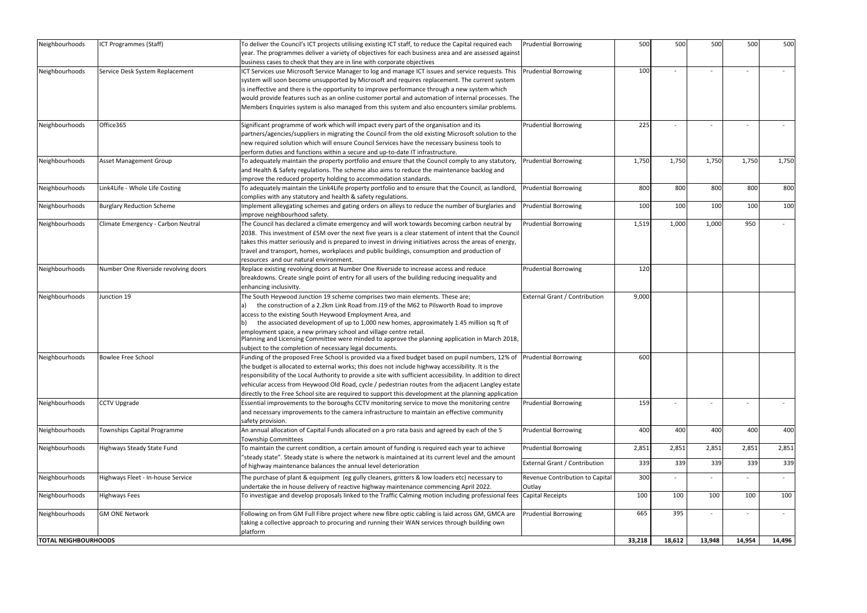| Neighbourhoods              | ICT Programmes (Staff)               | To deliver the Council's ICT projects utilising existing ICT staff, to reduce the Capital required each<br>year. The programmes deliver a variety of objectives for each business area and are assessed against | <b>Prudential Borrowing</b>     | 500    | 500    | 500    | 500    | 500    |
|-----------------------------|--------------------------------------|-----------------------------------------------------------------------------------------------------------------------------------------------------------------------------------------------------------------|---------------------------------|--------|--------|--------|--------|--------|
|                             |                                      | business cases to check that they are in line with corporate objectives                                                                                                                                         |                                 |        |        |        |        |        |
| Neighbourhoods              | Service Desk System Replacement      | ICT Services use Microsoft Service Manager to log and manage ICT issues and service requests. This                                                                                                              | <b>Prudential Borrowing</b>     | 100    |        |        |        |        |
|                             |                                      | system will soon become unsupported by Microsoft and requires replacement. The current system                                                                                                                   |                                 |        |        |        |        |        |
|                             |                                      | is ineffective and there is the opportunity to improve performance through a new system which                                                                                                                   |                                 |        |        |        |        |        |
|                             |                                      | would provide features such as an online customer portal and automation of internal processes. The                                                                                                              |                                 |        |        |        |        |        |
|                             |                                      | Members Enquiries system is also managed from this system and also encounters similar problems.                                                                                                                 |                                 |        |        |        |        |        |
|                             |                                      |                                                                                                                                                                                                                 |                                 |        |        |        |        |        |
| Neighbourhoods              | Office365                            | Significant programme of work which will impact every part of the organisation and its                                                                                                                          | <b>Prudential Borrowing</b>     | 225    |        |        |        |        |
|                             |                                      | partners/agencies/suppliers in migrating the Council from the old existing Microsoft solution to the                                                                                                            |                                 |        |        |        |        |        |
|                             |                                      | new required solution which will ensure Council Services have the necessary business tools to                                                                                                                   |                                 |        |        |        |        |        |
|                             |                                      | perform duties and functions within a secure and up-to-date IT infrastructure.                                                                                                                                  |                                 |        |        |        |        |        |
| Neighbourhoods              | <b>Asset Management Group</b>        | To adequately maintain the property portfolio and ensure that the Council comply to any statutory,                                                                                                              | <b>Prudential Borrowing</b>     | 1,750  | 1,750  | 1,750  | 1,750  | 1,750  |
|                             |                                      | and Health & Safety regulations. The scheme also aims to reduce the maintenance backlog and                                                                                                                     |                                 |        |        |        |        |        |
|                             |                                      | improve the reduced property holding to accommodation standards.                                                                                                                                                |                                 |        |        |        |        |        |
| Neighbourhoods              | ink4Life - Whole Life Costing        | To adequately maintain the Link4Life property portfolio and to ensure that the Council, as landlord,                                                                                                            | <b>Prudential Borrowing</b>     | 800    | 800    | 800    | 800    | 800    |
|                             |                                      |                                                                                                                                                                                                                 |                                 |        |        |        |        |        |
|                             |                                      | complies with any statutory and health & safety regulations.                                                                                                                                                    |                                 | 100    | 100    | 100    | 100    | 100    |
| Neighbourhoods              | <b>Burglary Reduction Scheme</b>     | Implement alleygating schemes and gating orders on alleys to reduce the number of burglaries and                                                                                                                | <b>Prudential Borrowing</b>     |        |        |        |        |        |
|                             |                                      | improve neighbourhood safety.                                                                                                                                                                                   |                                 |        |        |        |        |        |
| Neighbourhoods              | Climate Emergency - Carbon Neutral   | The Council has declared a climate emergency and will work towards becoming carbon neutral by                                                                                                                   | <b>Prudential Borrowing</b>     | 1,519  | 1,000  | 1,000  | 950    | $\sim$ |
|                             |                                      | 2038. This investment of £5M over the next five years is a clear statement of intent that the Council                                                                                                           |                                 |        |        |        |        |        |
|                             |                                      | takes this matter seriously and is prepared to invest in driving initiatives across the areas of energy,                                                                                                        |                                 |        |        |        |        |        |
|                             |                                      | travel and transport, homes, workplaces and public buildings, consumption and production of                                                                                                                     |                                 |        |        |        |        |        |
|                             |                                      | resources and our natural environment.                                                                                                                                                                          |                                 |        |        |        |        |        |
| Neighbourhoods              | Number One Riverside revolving doors | Replace existing revolving doors at Number One Riverside to increase access and reduce                                                                                                                          | <b>Prudential Borrowing</b>     | 120    |        |        |        |        |
|                             |                                      | breakdowns. Create single point of entry for all users of the building reducing inequality and                                                                                                                  |                                 |        |        |        |        |        |
|                             |                                      | enhancing inclusivity.                                                                                                                                                                                          |                                 |        |        |        |        |        |
| Neighbourhoods              | Junction 19                          | The South Heywood Junction 19 scheme comprises two main elements. These are;                                                                                                                                    | External Grant / Contribution   | 9,000  |        |        |        |        |
|                             |                                      | the construction of a 2.2km Link Road from J19 of the M62 to Pilsworth Road to improve                                                                                                                          |                                 |        |        |        |        |        |
|                             |                                      | access to the existing South Heywood Employment Area, and                                                                                                                                                       |                                 |        |        |        |        |        |
|                             |                                      | the associated development of up to 1,000 new homes, approximately 1.45 million sq ft of                                                                                                                        |                                 |        |        |        |        |        |
|                             |                                      | employment space, a new primary school and village centre retail.                                                                                                                                               |                                 |        |        |        |        |        |
|                             |                                      | Planning and Licensing Committee were minded to approve the planning application in March 2018,                                                                                                                 |                                 |        |        |        |        |        |
|                             |                                      | subject to the completion of necessary legal documents.                                                                                                                                                         |                                 |        |        |        |        |        |
| Neighbourhoods              | <b>Bowlee Free School</b>            | Funding of the proposed Free School is provided via a fixed budget based on pupil numbers, 12% of Prudential Borrowing                                                                                          |                                 | 600    |        |        |        |        |
|                             |                                      | the budget is allocated to external works; this does not include highway accessibility. It is the                                                                                                               |                                 |        |        |        |        |        |
|                             |                                      | responsibility of the Local Authority to provide a site with sufficient accessibility. In addition to direct                                                                                                    |                                 |        |        |        |        |        |
|                             |                                      | vehicular access from Heywood Old Road, cycle / pedestrian routes from the adjacent Langley estate                                                                                                              |                                 |        |        |        |        |        |
|                             |                                      | directly to the Free School site are required to support this development at the planning application                                                                                                           |                                 |        |        |        |        |        |
| Neighbourhoods              | <b>CCTV Upgrade</b>                  | Essential improvements to the boroughs CCTV monitoring service to move the monitoring centre                                                                                                                    | <b>Prudential Borrowing</b>     | 159    |        |        |        |        |
|                             |                                      | and necessary improvements to the camera infrastructure to maintain an effective community                                                                                                                      |                                 |        |        |        |        |        |
|                             |                                      | safety provision.                                                                                                                                                                                               |                                 |        |        |        |        |        |
| Neighbourhoods              | Townships Capital Programme          | An annual allocation of Capital Funds allocated on a pro rata basis and agreed by each of the 5                                                                                                                 | <b>Prudential Borrowing</b>     | 400    | 400    | 400    | 400    | 400    |
|                             |                                      | Township Committees                                                                                                                                                                                             |                                 |        |        |        |        |        |
| Neighbourhoods              | Highways Steady State Fund           | To maintain the current condition, a certain amount of funding is required each year to achieve                                                                                                                 | <b>Prudential Borrowing</b>     | 2,851  | 2,851  | 2,851  | 2,851  | 2,851  |
|                             |                                      |                                                                                                                                                                                                                 |                                 |        |        |        |        |        |
|                             |                                      | "steady state". Steady state is where the network is maintained at its current level and the amount                                                                                                             | External Grant / Contribution   | 339    | 339    | 339    | 339    | 339    |
|                             |                                      | of highway maintenance balances the annual level deterioration                                                                                                                                                  |                                 |        |        |        |        |        |
| Neighbourhoods              | Highways Fleet - In-house Service    | The purchase of plant & equipment (eg gully cleaners, gritters & low loaders etc) necessary to                                                                                                                  | Revenue Contribution to Capital | 300    |        |        |        | $\sim$ |
|                             |                                      | undertake the in house delivery of reactive highway maintenance commencing April 2022.                                                                                                                          | Outlay                          |        |        |        |        |        |
| Neighbourhoods              | <b>Highways Fees</b>                 | To investigae and develop proposals linked to the Traffic Calming motion including professional fees                                                                                                            | Capital Receipts                | 100    | 100    | 100    | 100    | 100    |
| Neighbourhoods              | <b>GM ONE Network</b>                | Following on from GM Full Fibre project where new fibre optic cabling is laid across GM, GMCA are                                                                                                               | <b>Prudential Borrowing</b>     | 665    | 395    |        |        |        |
|                             |                                      | taking a collective approach to procuring and running their WAN services through building own                                                                                                                   |                                 |        |        |        |        |        |
|                             |                                      | platform                                                                                                                                                                                                        |                                 |        |        |        |        |        |
| <b>TOTAL NEIGHBOURHOODS</b> |                                      |                                                                                                                                                                                                                 |                                 | 33,218 | 18,612 | 13,948 | 14,954 | 14,496 |
|                             |                                      |                                                                                                                                                                                                                 |                                 |        |        |        |        |        |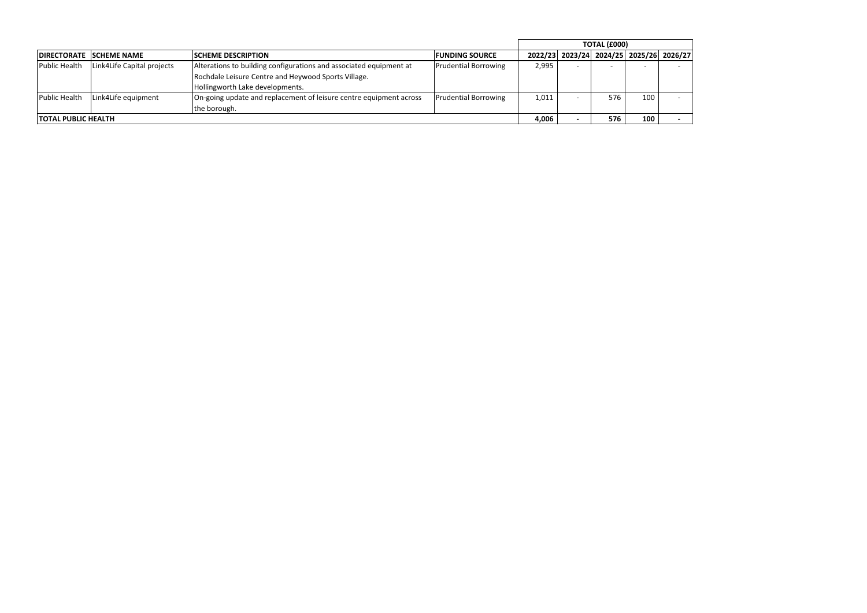|                     |                                |                                                                                                                                                              |                             | <b>TOTAL (£000)</b> |                          |                                         |                  |  |
|---------------------|--------------------------------|--------------------------------------------------------------------------------------------------------------------------------------------------------------|-----------------------------|---------------------|--------------------------|-----------------------------------------|------------------|--|
|                     | <b>DIRECTORATE SCHEME NAME</b> | <b>ISCHEME DESCRIPTION</b>                                                                                                                                   | <b>FUNDING SOURCE</b>       |                     |                          | 2022/23 2023/24 2024/25 2025/26 2026/27 |                  |  |
| Public Health       | Link4Life Capital projects     | Alterations to building configurations and associated equipment at<br>Rochdale Leisure Centre and Heywood Sports Village.<br>Hollingworth Lake developments. | <b>Prudential Borrowing</b> | 2,995               | $\overline{\phantom{a}}$ |                                         |                  |  |
| Public Health       | Link4Life equipment            | On-going update and replacement of leisure centre equipment across<br>the borough.                                                                           | <b>Prudential Borrowing</b> | 1,011               |                          | 576                                     | 100 <sub>1</sub> |  |
| TOTAL PUBLIC HEALTH |                                |                                                                                                                                                              |                             | 4,006               |                          | 576                                     | 100              |  |